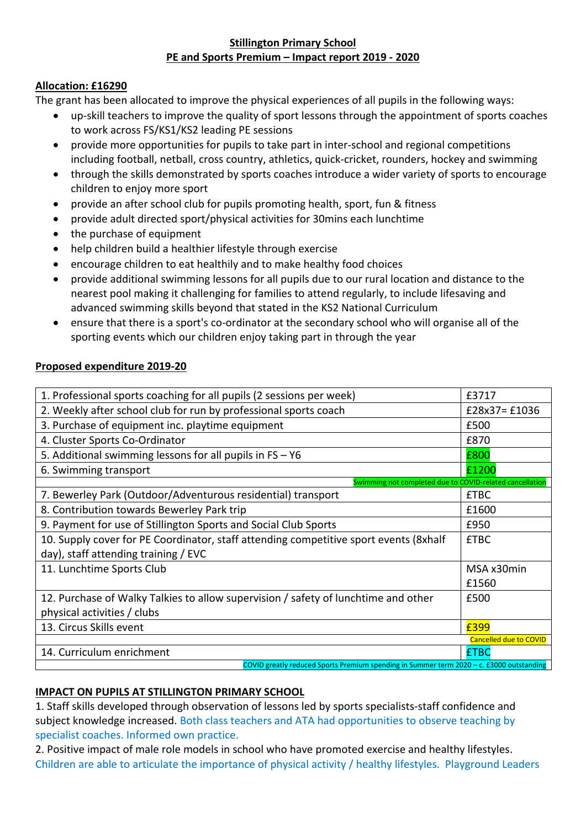## **Stillington Primary School PE and Sports Premium – Impact report 2019 - 2020**

## **Allocation: £16290**

The grant has been allocated to improve the physical experiences of all pupils in the following ways:

- up-skill teachers to improve the quality of sport lessons through the appointment of sports coaches to work across FS/KS1/KS2 leading PE sessions
- provide more opportunities for pupils to take part in inter-school and regional competitions including football, netball, cross country, athletics, quick-cricket, rounders, hockey and swimming
- through the skills demonstrated by sports coaches introduce a wider variety of sports to encourage children to enjoy more sport
- provide an after school club for pupils promoting health, sport, fun & fitness
- provide adult directed sport/physical activities for 30mins each lunchtime
- the purchase of equipment
- help children build a healthier lifestyle through exercise
- encourage children to eat healthily and to make healthy food choices
- provide additional swimming lessons for all pupils due to our rural location and distance to the nearest pool making it challenging for families to attend regularly, to include lifesaving and advanced swimming skills beyond that stated in the KS2 National Curriculum
- ensure that there is a sport's co-ordinator at the secondary school who will organise all of the sporting events which our children enjoy taking part in through the year

## **Proposed expenditure 2019-20**

| 1. Professional sports coaching for all pupils (2 sessions per week)                     | £3717                         |
|------------------------------------------------------------------------------------------|-------------------------------|
| 2. Weekly after school club for run by professional sports coach                         | £28x37=£1036                  |
| 3. Purchase of equipment inc. playtime equipment                                         | £500                          |
| 4. Cluster Sports Co-Ordinator                                                           | £870                          |
| 5. Additional swimming lessons for all pupils in $FS - Y6$                               | £800                          |
| 6. Swimming transport                                                                    | £1200                         |
| Swimming not completed due to COVID-related cancellation                                 |                               |
| 7. Bewerley Park (Outdoor/Adventurous residential) transport                             | <b>£TBC</b>                   |
| 8. Contribution towards Bewerley Park trip                                               | £1600                         |
| 9. Payment for use of Stillington Sports and Social Club Sports                          | £950                          |
| 10. Supply cover for PE Coordinator, staff attending competitive sport events (8xhalf    | <b>£TBC</b>                   |
| day), staff attending training / EVC                                                     |                               |
| 11. Lunchtime Sports Club                                                                | MSA x30min                    |
|                                                                                          | £1560                         |
| 12. Purchase of Walky Talkies to allow supervision / safety of lunchtime and other       | £500                          |
| physical activities / clubs                                                              |                               |
| 13. Circus Skills event                                                                  | £399                          |
|                                                                                          | <b>Cancelled due to COVID</b> |
| 14. Curriculum enrichment                                                                | <b>£TBC</b>                   |
| COVID greatly reduced Sports Premium spending in Summer term 2020 - c. £3000 outstanding |                               |

## **IMPACT ON PUPILS AT STILLINGTON PRIMARY SCHOOL**

1. Staff skills developed through observation of lessons led by sports specialists-staff confidence and subject knowledge increased. Both class teachers and ATA had opportunities to observe teaching by specialist coaches. Informed own practice.

2. Positive impact of male role models in school who have promoted exercise and healthy lifestyles. Children are able to articulate the importance of physical activity / healthy lifestyles. Playground Leaders